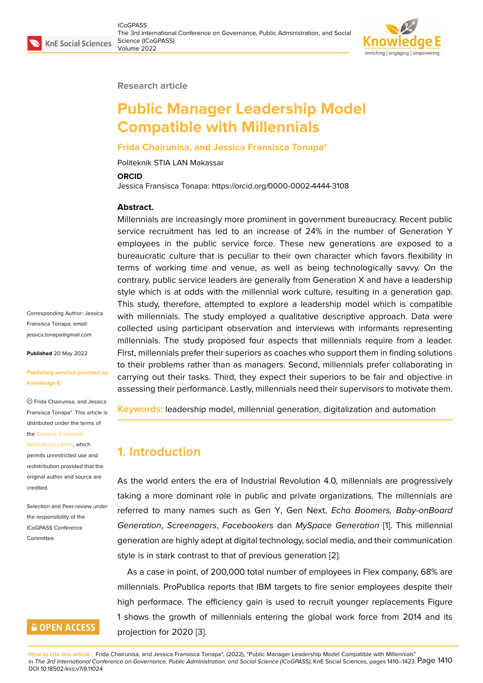

#### **Research article**

# **Public Manager Leadership Model Compatible with Millennials**

#### **Frida Chairunisa, and Jessica Fransisca Tonapa\***

Politeknik STIA LAN Makassar

#### **ORCID**

Jessica Fransisca Tonapa: https://orcid.org/0000-0002-4444-3108

#### **Abstract.**

Millennials are increasingly more prominent in government bureaucracy. Recent public service recruitment has led to an increase of 24% in the number of Generation Y employees in the public service force. These new generations are exposed to a bureaucratic culture that is peculiar to their own character which favors flexibility in terms of working time and venue, as well as being technologically savvy. On the contrary, public service leaders are generally from Generation X and have a leadership style which is at odds with the millennial work culture, resulting in a generation gap. This study, therefore, attempted to explore a leadership model which is compatible with millennials. The study employed a qualitative descriptive approach. Data were collected using participant observation and interviews with informants representing millennials. The study proposed four aspects that millennials require from a leader. First, millennials prefer their superiors as coaches who support them in finding solutions to their problems rather than as managers. Second, millennials prefer collaborating in carrying out their tasks. Third, they expect their superiors to be fair and objective in assessing their performance. Lastly, millennials need their supervisors to motivate them.

**Keywords:** leadership model, millennial generation, digitalization and automation

### **1. Introduction**

As the world enters the era of Industrial Revolution 4.0, millennials are progressively taking a more dominant role in public and private organizations. The millennials are referred to many names such as Gen Y, Gen Next, *Echo Boomers, Baby-onBoard Generation*, *Screenagers*, *Facebookers* dan *MySpace Generation* [1]. This millennial generation are highly adept at digital technology, social media, and their communication style is in stark contrast to that of previous generation [2].

As a case in point, of 200,000 total number of employees in Flex [co](#page-12-0)mpany, 68% are millennials. ProPublica reports that IBM targets to fire senior employees despite their high performace. The efficiency gain is used to recrui[t](#page-12-1) younger replacements Figure 1 shows the growth of millennials entering the global work force from 2014 and its projection for 2020 [3].

**How to cite this article**: Frida C[ha](#page-1-0)irunisa, and Jessica Fransisca Tonapa\*, (2022), "Public Manager Leadership Model Compatible with Millennials" in *The 3rd International Conference on Governance, Public Administration, and Social Science (ICoGPASS)*, KnE Social Sciences, pages 1410–1423. Page 1410 DOI 10.18502/kss.v7i9.11024

Corresponding Author: Jessica Fransisca Tonapa; email: jessica.tonapa@gmail.com

**Published** 20 May 2022

#### **[Publishing services provid](mailto:jessica.tonapa@gmail.com)ed by Knowledge E**

Frida Chairunisa, and Jessica Fransisca Tonapa\*. This article is distributed under the terms of the Creative Commons

Attribution License, which permits unrestricted use and redistribution provided that the orig[inal author and sou](https://creativecommons.org/licenses/by/4.0/)rce are [credited.](https://creativecommons.org/licenses/by/4.0/)

Selection and Peer-review under the responsibility of the ICoGPASS Conference Committee.

# **GOPEN ACCESS**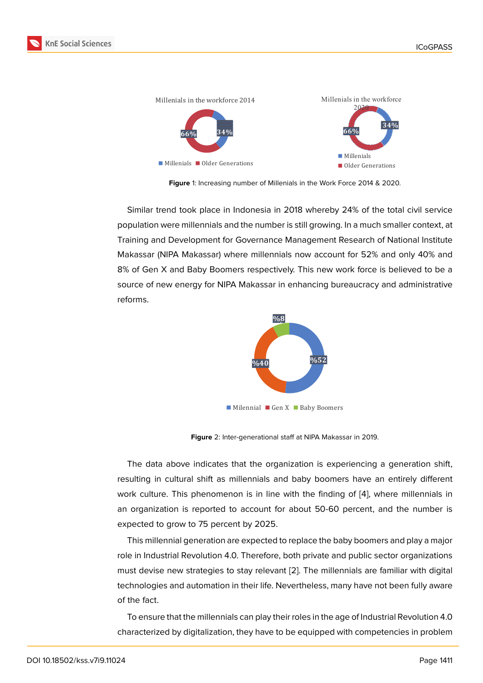

<span id="page-1-0"></span>**Figure** 1: Increasing number of Millenials in the Work Force 2014 & 2020.

Similar trend took place in Indonesia in 2018 whereby 24% of the total civil service population were millennials and the number is still growing. In a much smaller context, at Training and Development for Governance Management Research of National Institute Makassar (NIPA Makassar) where millennials now account for 52% and only 40% and 8% of Gen X and Baby Boomers respectively. This new work force is believed to be a source of new energy for NIPA Makassar in enhancing bureaucracy and administrative reforms.



**Figure** 2: Inter-generational staff at NIPA Makassar in 2019.

The data above indicates that the organization is experiencing a generation shift, resulting in cultural shift as millennials and baby boomers have an entirely different work culture. This phenomenon is in line with the finding of [4], where millennials in an organization is reported to account for about 50-60 percent, and the number is expected to grow to 75 percent by 2025.

This millennial generation are expected to replace the baby b[oo](#page-12-2)mers and play a major role in Industrial Revolution 4.0. Therefore, both private and public sector organizations must devise new strategies to stay relevant [2]. The millennials are familiar with digital technologies and automation in their life. Nevertheless, many have not been fully aware of the fact.

To ensure that the millennials can play their [ro](#page-12-1)les in the age of Industrial Revolution 4.0 characterized by digitalization, they have to be equipped with competencies in problem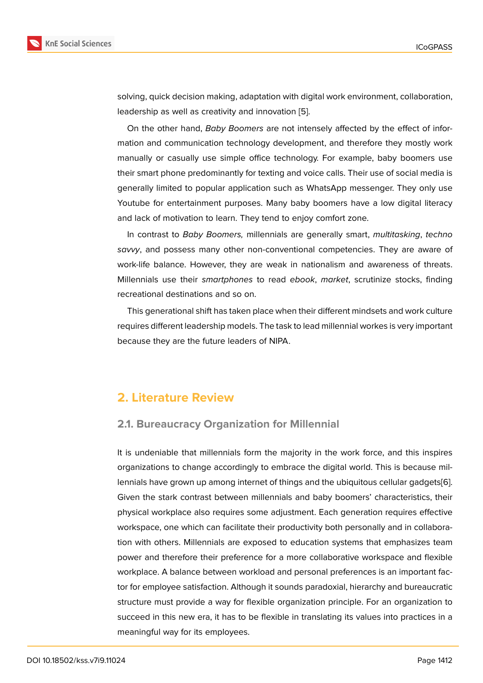solving, quick decision making, adaptation with digital work environment, collaboration, leadership as well as creativity and innovation [5].

On the other hand, *Baby Boomers* are not intensely affected by the effect of information and communication technology development, and therefore they mostly work manually or casually use simple office techn[olo](#page-12-3)gy. For example, baby boomers use their smart phone predominantly for texting and voice calls. Their use of social media is generally limited to popular application such as WhatsApp messenger. They only use Youtube for entertainment purposes. Many baby boomers have a low digital literacy and lack of motivation to learn. They tend to enjoy comfort zone.

In contrast to *Baby Boomers,* millennials are generally smart, *multitasking*, *techno savvy*, and possess many other non-conventional competencies. They are aware of work-life balance. However, they are weak in nationalism and awareness of threats. Millennials use their *smartphones* to read *ebook*, *market*, scrutinize stocks, finding recreational destinations and so on.

This generational shift has taken place when their different mindsets and work culture requires different leadership models. The task to lead millennial workes is very important because they are the future leaders of NIPA.

### **2. Literature Review**

### **2.1. Bureaucracy Organization for Millennial**

It is undeniable that millennials form the majority in the work force, and this inspires organizations to change accordingly to embrace the digital world. This is because millennials have grown up among internet of things and the ubiquitous cellular gadgets[6]. Given the stark contrast between millennials and baby boomers' characteristics, their physical workplace also requires some adjustment. Each generation requires effective workspace, one which can facilitate their productivity both personally and in collabo[ra](#page-12-4)tion with others. Millennials are exposed to education systems that emphasizes team power and therefore their preference for a more collaborative workspace and flexible workplace. A balance between workload and personal preferences is an important factor for employee satisfaction. Although it sounds paradoxial, hierarchy and bureaucratic structure must provide a way for flexible organization principle. For an organization to succeed in this new era, it has to be flexible in translating its values into practices in a meaningful way for its employees.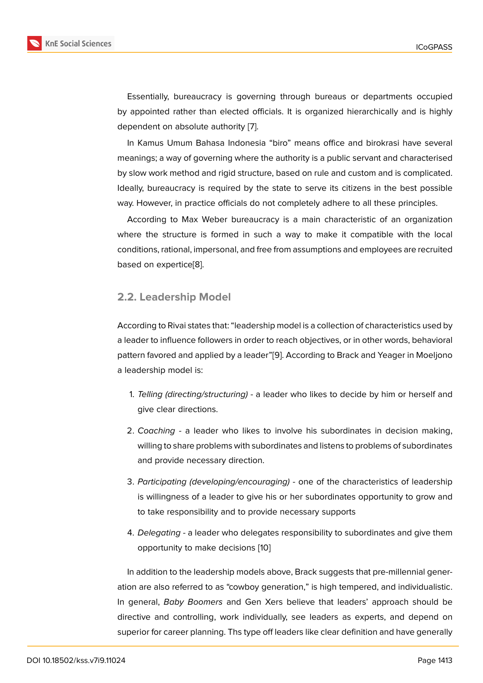Essentially, bureaucracy is governing through bureaus or departments occupied by appointed rather than elected officials. It is organized hierarchically and is highly dependent on absolute authority [7].

In Kamus Umum Bahasa Indonesia "biro" means office and birokrasi have several meanings; a way of governing where the authority is a public servant and characterised by slow work method and rigid str[uc](#page-12-5)ture, based on rule and custom and is complicated. Ideally, bureaucracy is required by the state to serve its citizens in the best possible way. However, in practice officials do not completely adhere to all these principles.

According to Max Weber bureaucracy is a main characteristic of an organization where the structure is formed in such a way to make it compatible with the local conditions, rational, impersonal, and free from assumptions and employees are recruited based on expertice[8].

#### **2.2. Leadershi[p M](#page-12-6)odel**

According to Rivai states that: "leadership model is a collection of characteristics used by a leader to influence followers in order to reach objectives, or in other words, behavioral pattern favored and applied by a leader"[9]. According to Brack and Yeager in Moeljono a leadership model is:

- 1. *Telling (directing/structuring) -* a le[ad](#page-12-7)er who likes to decide by him or herself and give clear directions.
- 2. *Coaching -* a leader who likes to involve his subordinates in decision making, willing to share problems with subordinates and listens to problems of subordinates and provide necessary direction.
- 3. *Participating (developing/encouraging) -* one of the characteristics of leadership is willingness of a leader to give his or her subordinates opportunity to grow and to take responsibility and to provide necessary supports
- 4. *Delegating -* a leader who delegates responsibility to subordinates and give them opportunity to make decisions [10]

In addition to the leadership models above, Brack suggests that pre-millennial generation are also referred to as "cowboy [ge](#page-12-8)neration," is high tempered, and individualistic. In general, *Baby Boomers* and Gen Xers believe that leaders' approach should be directive and controlling, work individually, see leaders as experts, and depend on superior for career planning. Ths type off leaders like clear definition and have generally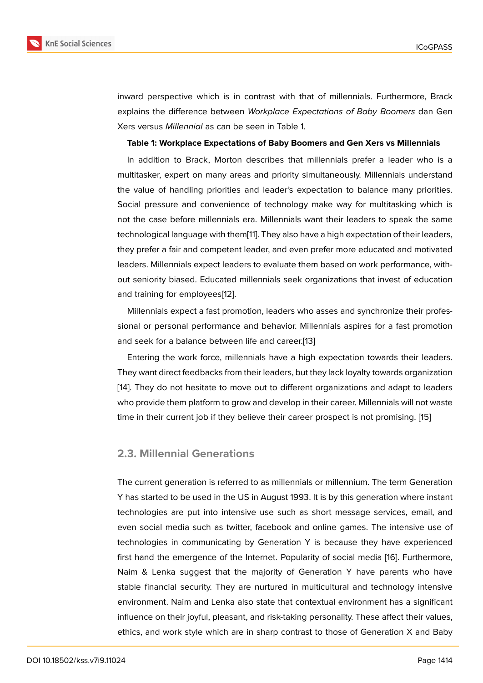inward perspective which is in contrast with that of millennials. Furthermore, Brack explains the difference between *Workplace Expectations of Baby Boomers* dan Gen Xers versus *Millennial* as can be seen in Table 1.

#### **Table 1: Workplace Expectations of Baby Boomers and Gen Xers vs Millennials**

In addition to Brack, Morton describes that millennials prefer a leader who is a multitasker, expert on many areas and priority simultaneously. Millennials understand the value of handling priorities and leader's expectation to balance many priorities. Social pressure and convenience of technology make way for multitasking which is not the case before millennials era. Millennials want their leaders to speak the same technological language with them[11]. They also have a high expectation of their leaders, they prefer a fair and competent leader, and even prefer more educated and motivated leaders. Millennials expect leaders to evaluate them based on work performance, without seniority biased. Educated mi[lle](#page-12-9)nnials seek organizations that invest of education and training for employees[12].

Millennials expect a fast promotion, leaders who asses and synchronize their professional or personal performance and behavior. Millennials aspires for a fast promotion and seek for a balance bet[we](#page-12-10)en life and career.[13]

Entering the work force, millennials have a high expectation towards their leaders. They want direct feedbacks from their leaders, but they lack loyalty towards organization [14]. They do not hesitate to move out to differ[ent](#page-12-11) organizations and adapt to leaders who provide them platform to grow and develop in their career. Millennials will not waste time in their current job if they believe their career prospect is not promising. [15]

#### **2.3. Millennial Generations**

The current generation is referred to as millennials or millennium. The term Generation Y has started to be used in the US in August 1993. It is by this generation where instant technologies are put into intensive use such as short message services, email, and even social media such as twitter, facebook and online games. The intensive use of technologies in communicating by Generation Y is because they have experienced first hand the emergence of the Internet. Popularity of social media [16]. Furthermore, Naim & Lenka suggest that the majority of Generation Y have parents who have stable financial security. They are nurtured in multicultural and technology intensive environment. Naim and Lenka also state that contextual environment [ha](#page-13-0)s a significant influence on their joyful, pleasant, and risk-taking personality. These affect their values, ethics, and work style which are in sharp contrast to those of Generation X and Baby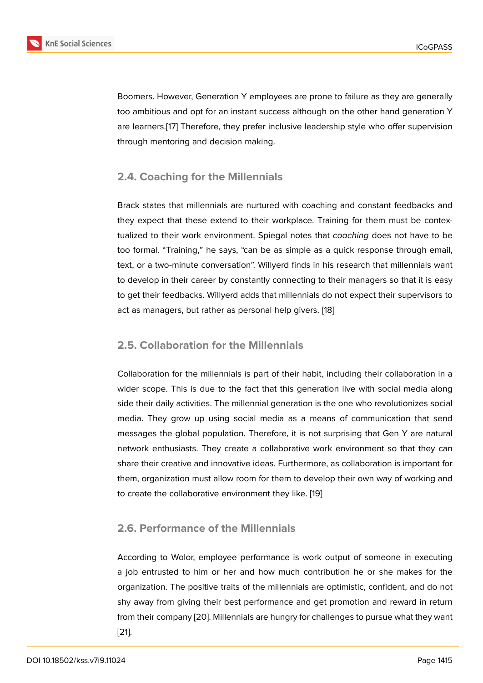Boomers. However, Generation Y employees are prone to failure as they are generally too ambitious and opt for an instant success although on the other hand generation Y are learners.[17] Therefore, they prefer inclusive leadership style who offer supervision through mentoring and decision making.

### **2.4. Coac[hin](#page-13-1)g for the Millennials**

Brack states that millennials are nurtured with coaching and constant feedbacks and they expect that these extend to their workplace. Training for them must be contextualized to their work environment. Spiegal notes that *coaching* does not have to be too formal. "Training," he says, "can be as simple as a quick response through email, text, or a two-minute conversation". Willyerd finds in his research that millennials want to develop in their career by constantly connecting to their managers so that it is easy to get their feedbacks. Willyerd adds that millennials do not expect their supervisors to act as managers, but rather as personal help givers. [18]

### **2.5. Collaboration for the Millennials**

Collaboration for the millennials is part of their habit, including their collaboration in a wider scope. This is due to the fact that this generation live with social media along side their daily activities. The millennial generation is the one who revolutionizes social media. They grow up using social media as a means of communication that send messages the global population. Therefore, it is not surprising that Gen Y are natural network enthusiasts. They create a collaborative work environment so that they can share their creative and innovative ideas. Furthermore, as collaboration is important for them, organization must allow room for them to develop their own way of working and to create the collaborative environment they like. [19]

### **2.6. Performance of the Millennials**

According to Wolor, employee performance is work output of someone in executing a job entrusted to him or her and how much contribution he or she makes for the organization. The positive traits of the millennials are optimistic, confident, and do not shy away from giving their best performance and get promotion and reward in return from their company [20]. Millennials are hungry for challenges to pursue what they want [21].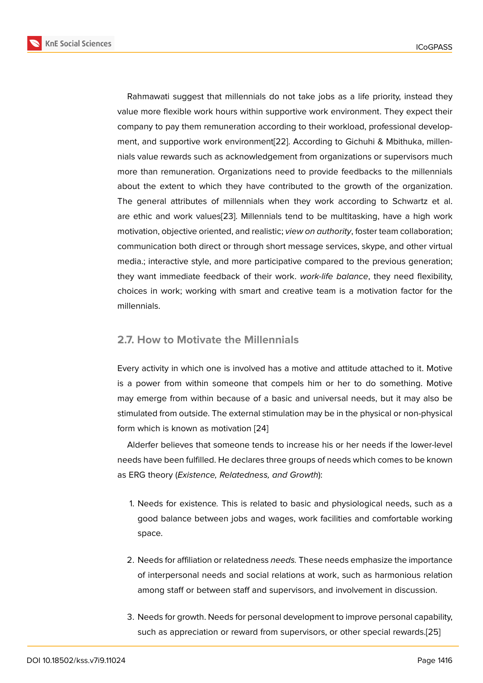Rahmawati suggest that millennials do not take jobs as a life priority, instead they value more flexible work hours within supportive work environment. They expect their company to pay them remuneration according to their workload, professional development, and supportive work environment[22]. According to Gichuhi & Mbithuka, millennials value rewards such as acknowledgement from organizations or supervisors much more than remuneration. Organizations need to provide feedbacks to the millennials about the extent to which they have c[ontr](#page-13-2)ibuted to the growth of the organization. The general attributes of millennials when they work according to Schwartz et al. are ethic and work values[23]. Millennials tend to be multitasking, have a high work motivation, objective oriented, and realistic; *view on authority*, foster team collaboration; communication both direct or through short message services, skype, and other virtual media.; interactive style, a[nd m](#page-13-3)ore participative compared to the previous generation; they want immediate feedback of their work. *work-life balance*, they need flexibility, choices in work; working with smart and creative team is a motivation factor for the millennials.

#### **2.7. How to Motivate the Millennials**

Every activity in which one is involved has a motive and attitude attached to it. Motive is a power from within someone that compels him or her to do something. Motive may emerge from within because of a basic and universal needs, but it may also be stimulated from outside. The external stimulation may be in the physical or non-physical form which is known as motivation [24]

Alderfer believes that someone tends to increase his or her needs if the lower-level needs have been fulfilled. He declares three groups of needs which comes to be known as ERG theory (*Existence, Relatedn[ess](#page-13-4), and Growth*):

- 1. Needs for existence*.* This is related to basic and physiological needs, such as a good balance between jobs and wages, work facilities and comfortable working space.
- 2. Needs for affiliation or relatedness *needs.* These needs emphasize the importance of interpersonal needs and social relations at work, such as harmonious relation among staff or between staff and supervisors, and involvement in discussion.
- 3. Needs for growth. Needs for personal development to improve personal capability, such as appreciation or reward from supervisors, or other special rewards.[25]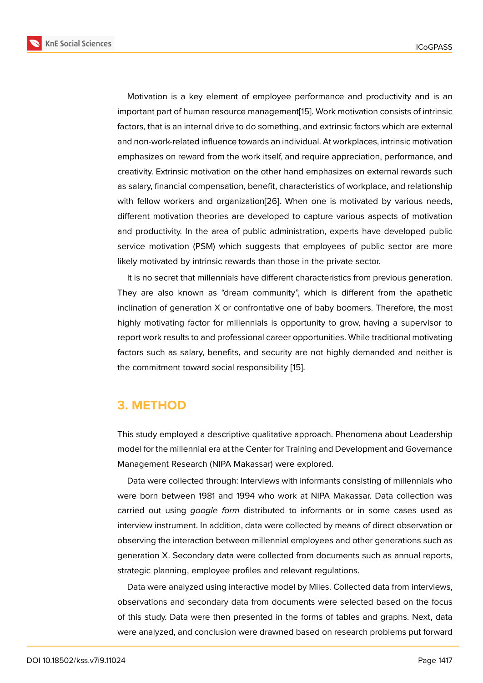Motivation is a key element of employee performance and productivity and is an important part of human resource management[15]. Work motivation consists of intrinsic factors, that is an internal drive to do something, and extrinsic factors which are external and non-work-related influence towards an individual. At workplaces, intrinsic motivation emphasizes on reward from the work itself, and [re](#page-13-5)quire appreciation, performance, and creativity. Extrinsic motivation on the other hand emphasizes on external rewards such as salary, financial compensation, benefit, characteristics of workplace, and relationship with fellow workers and organization[26]. When one is motivated by various needs, different motivation theories are developed to capture various aspects of motivation and productivity. In the area of public administration, experts have developed public service motivation (PSM) which sugg[ests](#page-13-6) that employees of public sector are more likely motivated by intrinsic rewards than those in the private sector.

It is no secret that millennials have different characteristics from previous generation. They are also known as "dream community", which is different from the apathetic inclination of generation X or confrontative one of baby boomers. Therefore, the most highly motivating factor for millennials is opportunity to grow, having a supervisor to report work results to and professional career opportunities. While traditional motivating factors such as salary, benefits, and security are not highly demanded and neither is the commitment toward social responsibility [15].

# **3. METHOD**

This study employed a descriptive qualitative approach. Phenomena about Leadership model for the millennial era at the Center for Training and Development and Governance Management Research (NIPA Makassar) were explored.

Data were collected through: Interviews with informants consisting of millennials who were born between 1981 and 1994 who work at NIPA Makassar. Data collection was carried out using *google form* distributed to informants or in some cases used as interview instrument. In addition, data were collected by means of direct observation or observing the interaction between millennial employees and other generations such as generation X. Secondary data were collected from documents such as annual reports, strategic planning, employee profiles and relevant regulations.

Data were analyzed using interactive model by Miles. Collected data from interviews, observations and secondary data from documents were selected based on the focus of this study. Data were then presented in the forms of tables and graphs. Next, data were analyzed, and conclusion were drawned based on research problems put forward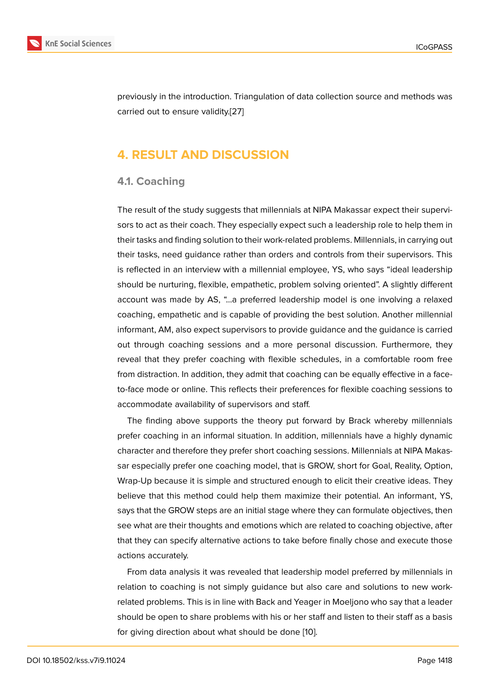previously in the introduction. Triangulation of data collection source and methods was carried out to ensure validity.[27]

# **4. RESULT AND DI[SCU](#page-13-7)SSION**

### **4.1. Coaching**

The result of the study suggests that millennials at NIPA Makassar expect their supervisors to act as their coach. They especially expect such a leadership role to help them in their tasks and finding solution to their work-related problems. Millennials, in carrying out their tasks, need guidance rather than orders and controls from their supervisors. This is reflected in an interview with a millennial employee, YS, who says "ideal leadership should be nurturing, flexible, empathetic, problem solving oriented". A slightly different account was made by AS, "…a preferred leadership model is one involving a relaxed coaching, empathetic and is capable of providing the best solution. Another millennial informant, AM, also expect supervisors to provide guidance and the guidance is carried out through coaching sessions and a more personal discussion. Furthermore, they reveal that they prefer coaching with flexible schedules, in a comfortable room free from distraction. In addition, they admit that coaching can be equally effective in a faceto-face mode or online. This reflects their preferences for flexible coaching sessions to accommodate availability of supervisors and staff.

The finding above supports the theory put forward by Brack whereby millennials prefer coaching in an informal situation. In addition, millennials have a highly dynamic character and therefore they prefer short coaching sessions. Millennials at NIPA Makassar especially prefer one coaching model, that is GROW, short for Goal, Reality, Option, Wrap-Up because it is simple and structured enough to elicit their creative ideas. They believe that this method could help them maximize their potential. An informant, YS, says that the GROW steps are an initial stage where they can formulate objectives, then see what are their thoughts and emotions which are related to coaching objective, after that they can specify alternative actions to take before finally chose and execute those actions accurately.

From data analysis it was revealed that leadership model preferred by millennials in relation to coaching is not simply guidance but also care and solutions to new workrelated problems. This is in line with Back and Yeager in Moeljono who say that a leader should be open to share problems with his or her staff and listen to their staff as a basis for giving direction about what should be done [10].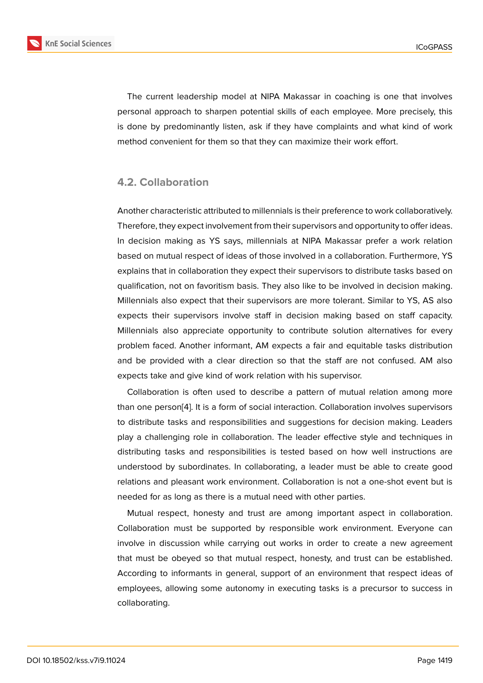The current leadership model at NIPA Makassar in coaching is one that involves personal approach to sharpen potential skills of each employee. More precisely, this is done by predominantly listen, ask if they have complaints and what kind of work method convenient for them so that they can maximize their work effort.

#### **4.2. Collaboration**

Another characteristic attributed to millennials is their preference to work collaboratively. Therefore, they expect involvement from their supervisors and opportunity to offer ideas. In decision making as YS says, millennials at NIPA Makassar prefer a work relation based on mutual respect of ideas of those involved in a collaboration. Furthermore, YS explains that in collaboration they expect their supervisors to distribute tasks based on qualification, not on favoritism basis. They also like to be involved in decision making. Millennials also expect that their supervisors are more tolerant. Similar to YS, AS also expects their supervisors involve staff in decision making based on staff capacity. Millennials also appreciate opportunity to contribute solution alternatives for every problem faced. Another informant, AM expects a fair and equitable tasks distribution and be provided with a clear direction so that the staff are not confused. AM also expects take and give kind of work relation with his supervisor.

Collaboration is often used to describe a pattern of mutual relation among more than one person[4]. It is a form of social interaction. Collaboration involves supervisors to distribute tasks and responsibilities and suggestions for decision making. Leaders play a challenging role in collaboration. The leader effective style and techniques in distributing task[s](#page-12-2) and responsibilities is tested based on how well instructions are understood by subordinates. In collaborating, a leader must be able to create good relations and pleasant work environment. Collaboration is not a one-shot event but is needed for as long as there is a mutual need with other parties.

Mutual respect, honesty and trust are among important aspect in collaboration. Collaboration must be supported by responsible work environment. Everyone can involve in discussion while carrying out works in order to create a new agreement that must be obeyed so that mutual respect, honesty, and trust can be established. According to informants in general, support of an environment that respect ideas of employees, allowing some autonomy in executing tasks is a precursor to success in collaborating.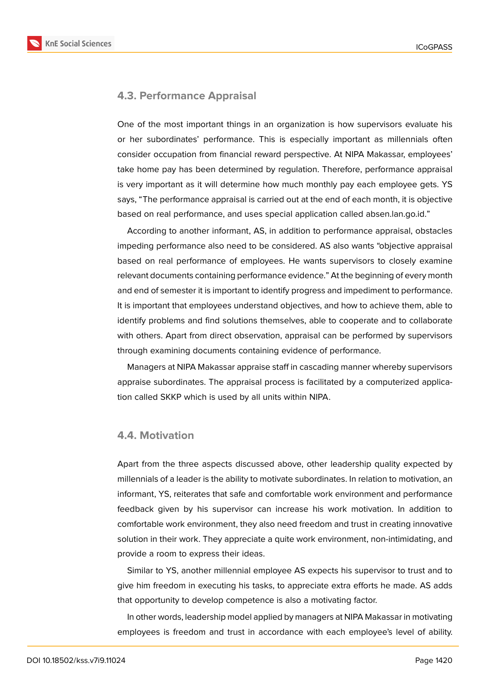**KnE Social Sciences** 



#### **4.3. Performance Appraisal**

One of the most important things in an organization is how supervisors evaluate his or her subordinates' performance. This is especially important as millennials often consider occupation from financial reward perspective. At NIPA Makassar, employees' take home pay has been determined by regulation. Therefore, performance appraisal is very important as it will determine how much monthly pay each employee gets. YS says, "The performance appraisal is carried out at the end of each month, it is objective based on real performance, and uses special application called absen.lan.go.id."

According to another informant, AS, in addition to performance appraisal, obstacles impeding performance also need to be considered. AS also wants "objective appraisal based on real performance of employees. He wants supervisors to closely examine relevant documents containing performance evidence." At the beginning of every month and end of semester it is important to identify progress and impediment to performance. It is important that employees understand objectives, and how to achieve them, able to identify problems and find solutions themselves, able to cooperate and to collaborate with others. Apart from direct observation, appraisal can be performed by supervisors through examining documents containing evidence of performance.

Managers at NIPA Makassar appraise staff in cascading manner whereby supervisors appraise subordinates. The appraisal process is facilitated by a computerized application called SKKP which is used by all units within NIPA.

#### **4.4. Motivation**

Apart from the three aspects discussed above, other leadership quality expected by millennials of a leader is the ability to motivate subordinates. In relation to motivation, an informant, YS, reiterates that safe and comfortable work environment and performance feedback given by his supervisor can increase his work motivation. In addition to comfortable work environment, they also need freedom and trust in creating innovative solution in their work. They appreciate a quite work environment, non-intimidating, and provide a room to express their ideas.

Similar to YS, another millennial employee AS expects his supervisor to trust and to give him freedom in executing his tasks, to appreciate extra efforts he made. AS adds that opportunity to develop competence is also a motivating factor.

In other words, leadership model applied by managers at NIPA Makassar in motivating employees is freedom and trust in accordance with each employee's level of ability.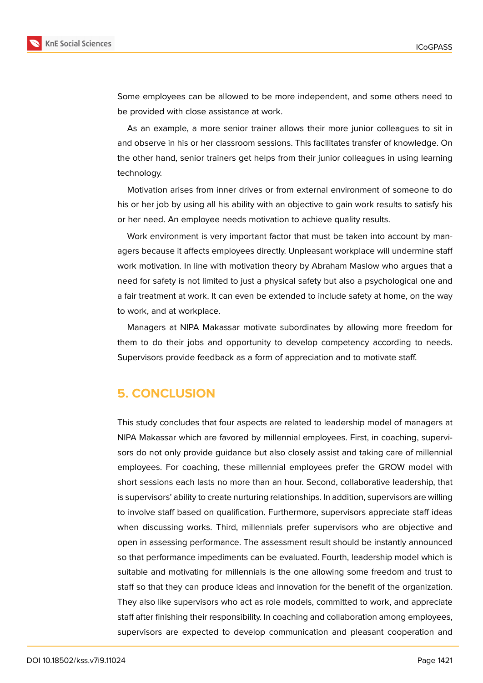

Some employees can be allowed to be more independent, and some others need to be provided with close assistance at work.

As an example, a more senior trainer allows their more junior colleagues to sit in and observe in his or her classroom sessions. This facilitates transfer of knowledge. On the other hand, senior trainers get helps from their junior colleagues in using learning technology.

Motivation arises from inner drives or from external environment of someone to do his or her job by using all his ability with an objective to gain work results to satisfy his or her need. An employee needs motivation to achieve quality results.

Work environment is very important factor that must be taken into account by managers because it affects employees directly. Unpleasant workplace will undermine staff work motivation. In line with motivation theory by Abraham Maslow who argues that a need for safety is not limited to just a physical safety but also a psychological one and a fair treatment at work. It can even be extended to include safety at home, on the way to work, and at workplace.

Managers at NIPA Makassar motivate subordinates by allowing more freedom for them to do their jobs and opportunity to develop competency according to needs. Supervisors provide feedback as a form of appreciation and to motivate staff.

# **5. CONCLUSION**

This study concludes that four aspects are related to leadership model of managers at NIPA Makassar which are favored by millennial employees. First, in coaching, supervisors do not only provide guidance but also closely assist and taking care of millennial employees. For coaching, these millennial employees prefer the GROW model with short sessions each lasts no more than an hour. Second, collaborative leadership, that is supervisors' ability to create nurturing relationships. In addition, supervisors are willing to involve staff based on qualification. Furthermore, supervisors appreciate staff ideas when discussing works. Third, millennials prefer supervisors who are objective and open in assessing performance. The assessment result should be instantly announced so that performance impediments can be evaluated. Fourth, leadership model which is suitable and motivating for millennials is the one allowing some freedom and trust to staff so that they can produce ideas and innovation for the benefit of the organization. They also like supervisors who act as role models, committed to work, and appreciate staff after finishing their responsibility. In coaching and collaboration among employees, supervisors are expected to develop communication and pleasant cooperation and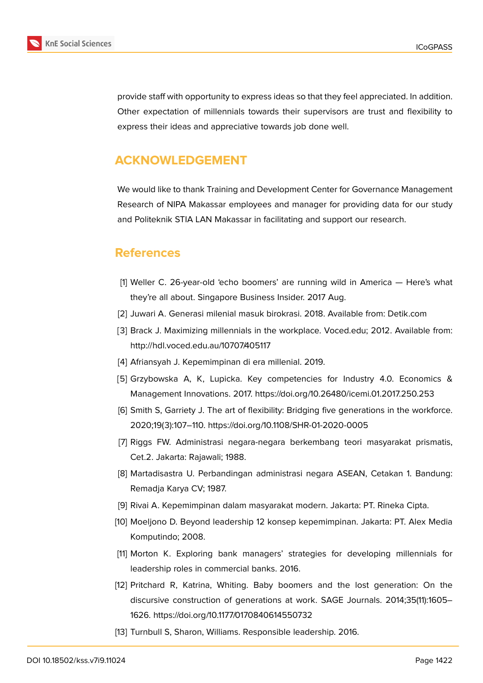

provide staff with opportunity to express ideas so that they feel appreciated. In addition. Other expectation of millennials towards their supervisors are trust and flexibility to express their ideas and appreciative towards job done well.

# **ACKNOWLEDGEMENT**

We would like to thank Training and Development Center for Governance Management Research of NIPA Makassar employees and manager for providing data for our study and Politeknik STIA LAN Makassar in facilitating and support our research.

# **References**

- <span id="page-12-0"></span>[1] Weller C. 26-year-old 'echo boomers' are running wild in America — Here's what they're all about. Singapore Business Insider. 2017 Aug.
- <span id="page-12-1"></span>[2] Juwari A. Generasi milenial masuk birokrasi. 2018. Available from: Detik.com
- [3] Brack J. Maximizing millennials in the workplace. Voced.edu; 2012. Available from: http://hdl.voced.edu.au/10707/405117
- <span id="page-12-3"></span><span id="page-12-2"></span>[4] Afriansyah J. Kepemimpinan di era millenial. 2019.
- [5] Grzybowska A, K, Lupicka. Key competencies for Industry 4.0. Economics & Management Innovations. 2017. https://doi.org/10.26480/icemi.01.2017.250.253
- <span id="page-12-4"></span>[6] Smith S, Garriety J. The art of flexibility: Bridging five generations in the workforce. 2020;19(3):107–110. https://doi.org/10.1108/SHR-01-2020-0005
- <span id="page-12-5"></span>[7] Riggs FW. Administrasi negara-negara berkembang teori masyarakat prismatis, Cet.2. Jakarta: Rajawali; 1988.
- <span id="page-12-6"></span>[8] Martadisastra U. Perbandingan administrasi negara ASEAN, Cetakan 1. Bandung: Remadja Karya CV; 1987.
- <span id="page-12-7"></span>[9] Rivai A. Kepemimpinan dalam masyarakat modern. Jakarta: PT. Rineka Cipta.
- <span id="page-12-8"></span>[10] Moeljono D. Beyond leadership 12 konsep kepemimpinan. Jakarta: PT. Alex Media Komputindo; 2008.
- <span id="page-12-9"></span>[11] Morton K. Exploring bank managers' strategies for developing millennials for leadership roles in commercial banks. 2016.
- <span id="page-12-10"></span>[12] Pritchard R, Katrina, Whiting. Baby boomers and the lost generation: On the discursive construction of generations at work. SAGE Journals. 2014;35(11):1605– 1626. https://doi.org/10.1177/0170840614550732
- <span id="page-12-11"></span>[13] Turnbull S, Sharon, Williams. Responsible leadership. 2016.